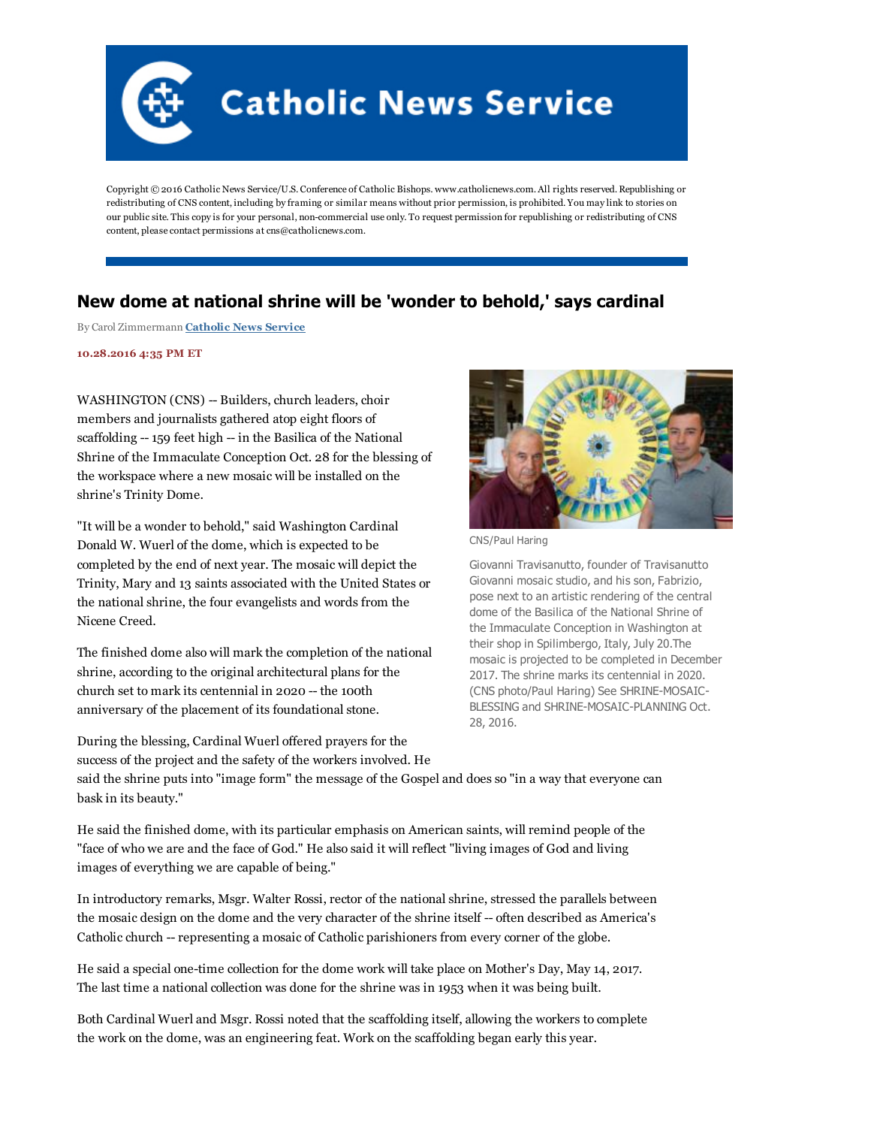

Copyright © 2016 Catholic News Service/U.S. Conference of Catholic Bishops. www.catholicnews.com. All rights reserved. Republishing or redistributing of CNS content, including by framing or similar means without prior permission, is prohibited. You may link to stories on our public site. This copy is for your personal, noncommercial use only. To request permission for republishing or redistributing of CNS content, please contact permissions at cns@catholicnews.com.

## New dome at national shrine will be 'wonder to behold,' says cardinal

By Carol Zimmermann [Catholic](http://www.catholicnews.com/) News Service

10.28.2016 4:35 PM ET

WASHINGTON (CNS) -- Builders, church leaders, choir members and journalists gathered atop eight floors of scaffolding -- 159 feet high -- in the Basilica of the National Shrine of the Immaculate Conception Oct. 28 for the blessing of the workspace where a new mosaic will be installed on the shrine's Trinity Dome.

"It will be a wonder to behold," said Washington Cardinal Donald W. Wuerl of the dome, which is expected to be completed by the end of next year. The mosaic will depict the Trinity, Mary and 13 saints associated with the United States or the national shrine, the four evangelists and words from the Nicene Creed.

The finished dome also will mark the completion of the national shrine, according to the original architectural plans for the church set to mark its centennial in 2020 -- the 100th anniversary of the placement of its foundational stone.

During the blessing, Cardinal Wuerl offered prayers for the



CNS/Paul Haring

Giovanni Travisanutto, founder of Travisanutto Giovanni mosaic studio, and his son, Fabrizio, pose next to an artistic rendering of the central dome of the Basilica of the National Shrine of the Immaculate Conception in Washington at their shop in Spilimbergo, Italy, July 20.The mosaic is projected to be completed in December 2017. The shrine marks its centennial in 2020. (CNS photo/Paul Haring) See SHRINE-MOSAIC-BLESSING and SHRINE-MOSAIC-PLANNING Oct. 28, 2016.

success of the project and the safety of the workers involved. He said the shrine puts into "image form" the message of the Gospel and does so "in a way that everyone can bask in its beauty."

He said the finished dome, with its particular emphasis on American saints, will remind people of the "face of who we are and the face of God." He also said it will reflect "living images of God and living images of everything we are capable of being."

In introductory remarks, Msgr. Walter Rossi, rector of the national shrine, stressed the parallels between the mosaic design on the dome and the very character of the shrine itself -- often described as America's Catholic church -- representing a mosaic of Catholic parishioners from every corner of the globe.

He said a special one-time collection for the dome work will take place on Mother's Day, May 14, 2017. The last time a national collection was done for the shrine was in 1953 when it was being built.

Both Cardinal Wuerl and Msgr. Rossi noted that the scaffolding itself, allowing the workers to complete the work on the dome, was an engineering feat. Work on the scaffolding began early this year.